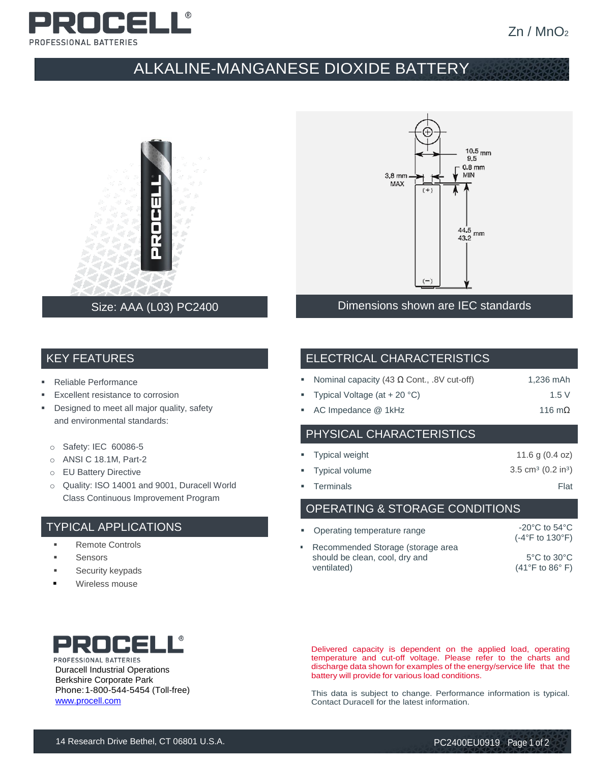

## ALKALINE-MANGANESE DIOXIDE BATTERY



### Size: AAA (L03) PC2400



#### Dimensions shown are IEC standards

#### KEY FEATURES

- **Reliable Performance**
- Excellent resistance to corrosion
- **•** Designed to meet all major quality, safety and environmental standards:
	- o Safety: IEC 60086-5
	- o ANSI C 18.1M, Part-2
	- o EU Battery Directive
	- o Quality: ISO 14001 and 9001, Duracell World Class Continuous Improvement Program

#### TYPICAL APPLICATIONS

- Remote Controls
- **Sensors**
- Security keypads
- Wireless mouse

### ELECTRICAL CHARACTERISTICS

| Nominal capacity (43 $\Omega$ Cont., .8V cut-off)<br>1,236 mAh |
|----------------------------------------------------------------|
|----------------------------------------------------------------|

- Typical Voltage  $(at + 20 °C)$  1.5 V
- AC Impedance @ 1kHz 116 mΩ

## PHYSICAL CHARACTERISTICS

| • Typical weight | 11.6 g $(0.4$ oz)                        |
|------------------|------------------------------------------|
| " Typical volume | 3.5 cm <sup>3</sup> $(0.2 \text{ in}^3)$ |
| • Terminals      | Flat                                     |

OPERATING & STORAGE CONDITIONS

| • Operating temperature range                                                      | $-20^{\circ}$ C to 54 $^{\circ}$ C<br>$(-4$ °F to 130°F)               |
|------------------------------------------------------------------------------------|------------------------------------------------------------------------|
| Recommended Storage (storage area<br>should be clean, cool, dry and<br>ventilated) | $5^{\circ}$ C to $30^{\circ}$ C<br>$(41^{\circ}$ F to 86 $^{\circ}$ F) |



PROFESSIONAL BATTERIES Duracell Industrial Operations Berkshire Corporate Park Phone:1-800-544-5454 (Toll-free) [www.procell.com](http://www.procell.com/)

Delivered capacity is dependent on the applied load, operating temperature and cut-off voltage. Please refer to the charts and discharge data shown for examples of the energy/service life that the battery will provide for various load conditions.

This data is subject to change. Performance information is typical. Contact Duracell for the latest information.